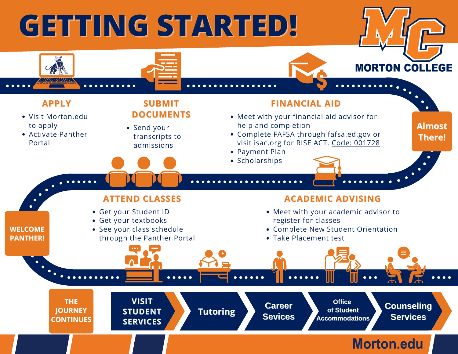## **GETTING STARTED!**